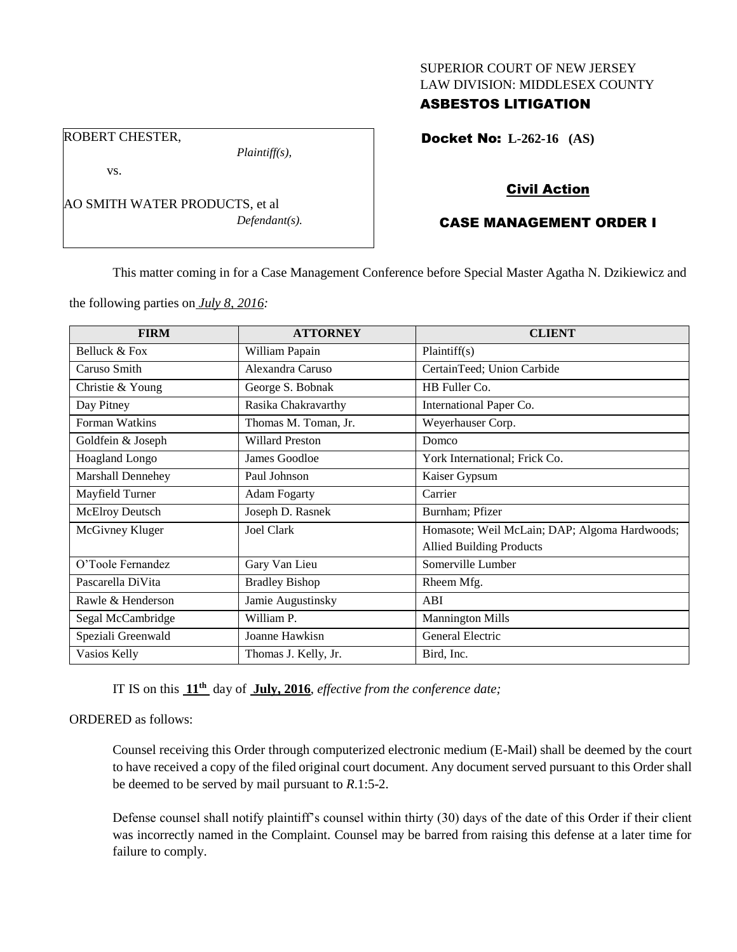# SUPERIOR COURT OF NEW JERSEY LAW DIVISION: MIDDLESEX COUNTY

# ASBESTOS LITIGATION

Docket No: **L-262-16 (AS)** 

### Civil Action

# CASE MANAGEMENT ORDER I

This matter coming in for a Case Management Conference before Special Master Agatha N. Dzikiewicz and

the following parties on *July 8, 2016:*

AO SMITH WATER PRODUCTS, et al

*Plaintiff(s),*

*Defendant(s).*

| <b>FIRM</b>              | <b>ATTORNEY</b>        | <b>CLIENT</b>                                 |
|--------------------------|------------------------|-----------------------------------------------|
| Belluck & Fox            | William Papain         | Plaintiff(s)                                  |
| Caruso Smith             | Alexandra Caruso       | CertainTeed; Union Carbide                    |
| Christie & Young         | George S. Bobnak       | HB Fuller Co.                                 |
| Day Pitney               | Rasika Chakravarthy    | International Paper Co.                       |
| Forman Watkins           | Thomas M. Toman, Jr.   | Weyerhauser Corp.                             |
| Goldfein & Joseph        | <b>Willard Preston</b> | Domco                                         |
| <b>Hoagland Longo</b>    | James Goodloe          | York International; Frick Co.                 |
| <b>Marshall Dennehey</b> | Paul Johnson           | Kaiser Gypsum                                 |
| Mayfield Turner          | <b>Adam Fogarty</b>    | Carrier                                       |
| <b>McElroy Deutsch</b>   | Joseph D. Rasnek       | Burnham; Pfizer                               |
| McGivney Kluger          | Joel Clark             | Homasote; Weil McLain; DAP; Algoma Hardwoods; |
|                          |                        | <b>Allied Building Products</b>               |
| O'Toole Fernandez        | Gary Van Lieu          | Somerville Lumber                             |
| Pascarella DiVita        | <b>Bradley Bishop</b>  | Rheem Mfg.                                    |
| Rawle & Henderson        | Jamie Augustinsky      | ABI                                           |
| Segal McCambridge        | William P.             | <b>Mannington Mills</b>                       |
| Speziali Greenwald       | Joanne Hawkisn         | General Electric                              |
| Vasios Kelly             | Thomas J. Kelly, Jr.   | Bird, Inc.                                    |

IT IS on this **11th** day of **July, 2016**, *effective from the conference date;*

### ORDERED as follows:

Counsel receiving this Order through computerized electronic medium (E-Mail) shall be deemed by the court to have received a copy of the filed original court document. Any document served pursuant to this Order shall be deemed to be served by mail pursuant to *R*.1:5-2.

Defense counsel shall notify plaintiff's counsel within thirty (30) days of the date of this Order if their client was incorrectly named in the Complaint. Counsel may be barred from raising this defense at a later time for failure to comply.

ROBERT CHESTER,

vs.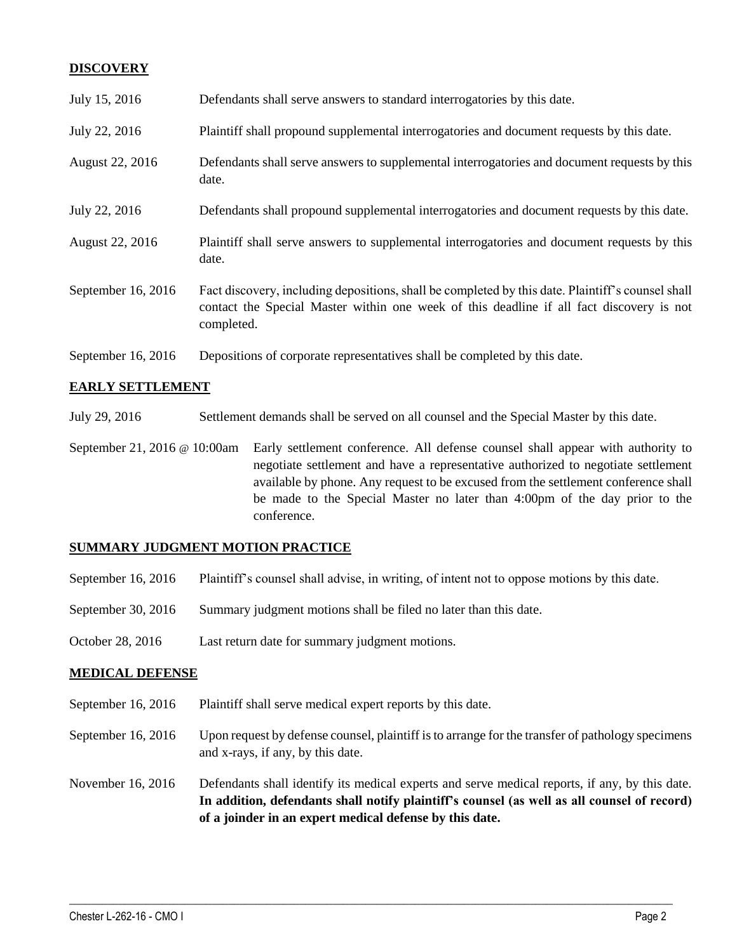### **DISCOVERY**

| July 15, 2016      | Defendants shall serve answers to standard interrogatories by this date.                                                                                                                                    |
|--------------------|-------------------------------------------------------------------------------------------------------------------------------------------------------------------------------------------------------------|
| July 22, 2016      | Plaintiff shall propound supplemental interrogatories and document requests by this date.                                                                                                                   |
| August 22, 2016    | Defendants shall serve answers to supplemental interrogatories and document requests by this<br>date.                                                                                                       |
| July 22, 2016      | Defendants shall propound supplemental interrogatories and document requests by this date.                                                                                                                  |
| August 22, 2016    | Plaintiff shall serve answers to supplemental interrogatories and document requests by this<br>date.                                                                                                        |
| September 16, 2016 | Fact discovery, including depositions, shall be completed by this date. Plaintiff's counsel shall<br>contact the Special Master within one week of this deadline if all fact discovery is not<br>completed. |
| September 16, 2016 | Depositions of corporate representatives shall be completed by this date.                                                                                                                                   |

### **EARLY SETTLEMENT**

July 29, 2016 Settlement demands shall be served on all counsel and the Special Master by this date.

September 21, 2016 @ 10:00am Early settlement conference. All defense counsel shall appear with authority to negotiate settlement and have a representative authorized to negotiate settlement available by phone. Any request to be excused from the settlement conference shall be made to the Special Master no later than 4:00pm of the day prior to the conference.

### **SUMMARY JUDGMENT MOTION PRACTICE**

- September 16, 2016 Plaintiff's counsel shall advise, in writing, of intent not to oppose motions by this date.
- September 30, 2016 Summary judgment motions shall be filed no later than this date.
- October 28, 2016 Last return date for summary judgment motions.

### **MEDICAL DEFENSE**

- September 16, 2016 Plaintiff shall serve medical expert reports by this date.
- September 16, 2016 Upon request by defense counsel, plaintiff is to arrange for the transfer of pathology specimens and x-rays, if any, by this date.
- November 16, 2016 Defendants shall identify its medical experts and serve medical reports, if any, by this date. **In addition, defendants shall notify plaintiff's counsel (as well as all counsel of record) of a joinder in an expert medical defense by this date.**

 $\_$  , and the set of the set of the set of the set of the set of the set of the set of the set of the set of the set of the set of the set of the set of the set of the set of the set of the set of the set of the set of th